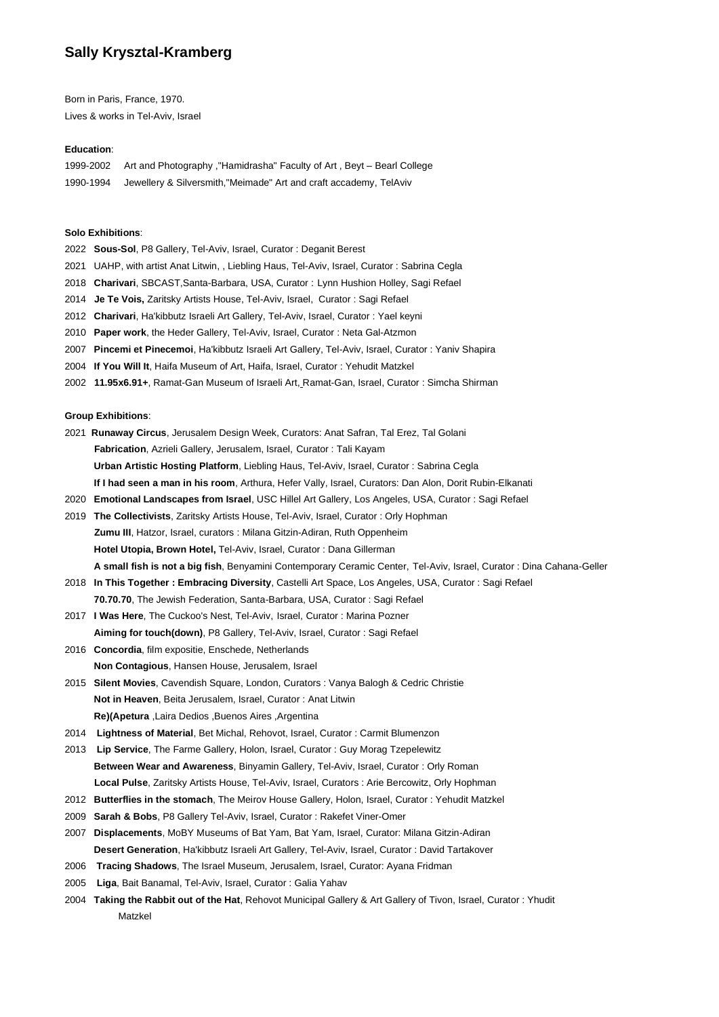# **Sally Krysztal-Kramberg**

Born in Paris, France, 1970. Lives & works in Tel-Aviv, Israel

#### **Education**:

| 1999-2002 | Art and Photography, "Hamidrasha" Faculty of Art, Beyt - Bearl College |
|-----------|------------------------------------------------------------------------|
| 1990-1994 | Jewellery & Silversmith,"Meimade" Art and craft accademy, TelAviv      |

#### **Solo Exhibitions**:

- 2022 **Sous-Sol**, P8 Gallery, Tel-Aviv, Israel, Curator : Deganit Berest
- 2021 UAHP, with artist Anat Litwin, , Liebling Haus, Tel-Aviv, Israel, Curator : Sabrina Cegla
- 2018 **Charivari**, SBCAST,Santa-Barbara, USA, Curator : Lynn Hushion Holley, Sagi Refael
- 2014 **Je Te Vois,** Zaritsky Artists House, Tel-Aviv, Israel, Curator : Sagi Refael
- 2012 **Charivari**, Ha'kibbutz Israeli Art Gallery, Tel-Aviv, Israel, Curator : Yael keyni
- 2010 **Paper work**, the Heder Gallery, Tel-Aviv, Israel, Curator : Neta Gal-Atzmon
- 2007 **Pincemi et Pinecemoi**, Ha'kibbutz Israeli Art Gallery, Tel-Aviv, Israel, Curator : Yaniv Shapira
- 2004 **If You Will It**, Haifa Museum of Art, Haifa, Israel, Curator : Yehudit Matzkel
- 2002 **11.95x6.91+**, Ramat-Gan Museum of Israeli Art, Ramat-Gan, Israel, Curator : Simcha Shirman

#### **Group Exhibitions**:

- 2021 **Runaway Circus**, Jerusalem Design Week, Curators: Anat Safran, Tal Erez, Tal Golani  **Fabrication**, Azrieli Gallery, Jerusalem, Israel, Curator : Tali Kayam **Urban Artistic Hosting Platform**, Liebling Haus, Tel-Aviv, Israel, Curator : Sabrina Cegla  **If I had seen a man in his room**, Arthura, Hefer Vally, Israel, Curators: Dan Alon, Dorit Rubin-Elkanati
- 2020 **Emotional Landscapes from Israel**, USC Hillel Art Gallery, Los Angeles, USA, Curator : Sagi Refael
- 2019 **The Collectivists**, Zaritsky Artists House, Tel-Aviv, Israel, Curator : Orly Hophman **Zumu III**, Hatzor, Israel, curators : Milana Gitzin-Adiran, Ruth Oppenheim  **Hotel Utopia, Brown Hotel,** Tel-Aviv, Israel, Curator : Dana Gillerman  **A small fish is not a big fish**, Benyamini Contemporary Ceramic Center, Tel-Aviv, Israel, Curator : Dina Cahana-Geller
- 2018 **In This Together : Embracing Diversity**, Castelli Art Space, Los Angeles, USA, Curator : Sagi Refael **70.70.70**, The Jewish Federation, Santa-Barbara, USA, Curator : Sagi Refael
- 2017 **I Was Here**, The Cuckoo's Nest, Tel-Aviv, Israel, Curator : Marina Pozner **Aiming for touch(down)**, P8 Gallery, Tel-Aviv, Israel, Curator : Sagi Refael
- 2016 **Concordia**, film expositie, Enschede, Netherlands **Non Contagious**, Hansen House, Jerusalem, Israel
- 2015 **Silent Movies**, Cavendish Square, London, Curators : Vanya Balogh & Cedric Christie **Not in Heaven**, Beita Jerusalem, Israel, Curator : Anat Litwin **Re)(Apetura** ,Laira Dedios ,Buenos Aires ,Argentina
- 2014 **Lightness of Material**, Bet Michal, Rehovot, Israel, Curator : Carmit Blumenzon
- 2013 **Lip Service**, The Farme Gallery, Holon, Israel, Curator : Guy Morag Tzepelewitz **Between Wear and Awareness**, Binyamin Gallery, Tel-Aviv, Israel, Curator : Orly Roman **Local Pulse**, Zaritsky Artists House, Tel-Aviv, Israel, Curators : Arie Bercowitz, Orly Hophman
- 2012 **Butterflies in the stomach**, The Meirov House Gallery, Holon, Israel, Curator : Yehudit Matzkel
- 2009 **Sarah & Bobs**, P8 Gallery Tel-Aviv, Israel, Curator : Rakefet Viner-Omer
- 2007 **Displacements**, MoBY Museums of Bat Yam, Bat Yam, Israel, Curator: Milana Gitzin-Adiran **Desert Generation**, Ha'kibbutz Israeli Art Gallery, Tel-Aviv, Israel, Curator : David Tartakover
- 2006 **Tracing Shadows**, The Israel Museum, Jerusalem, Israel, Curator: Ayana Fridman
- 2005 **Liga**, Bait Banamal, Tel-Aviv, Israel, Curator : Galia Yahav
- 2004 **Taking the Rabbit out of the Hat**, Rehovot Municipal Gallery & Art Gallery of Tivon, Israel, Curator : Yhudit Matzkel